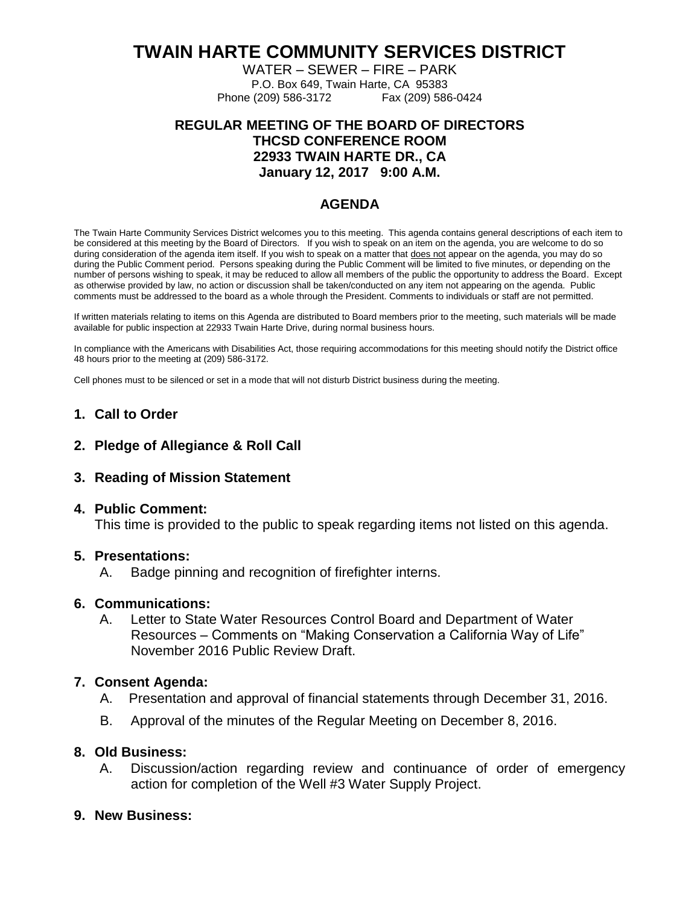# **TWAIN HARTE COMMUNITY SERVICES DISTRICT**

WATER – SEWER – FIRE – PARK

P.O. Box 649, Twain Harte, CA 95383 Phone (209) 586-3172 Fax (209) 586-0424

# **REGULAR MEETING OF THE BOARD OF DIRECTORS THCSD CONFERENCE ROOM 22933 TWAIN HARTE DR., CA January 12, 2017 9:00 A.M.**

# **AGENDA**

The Twain Harte Community Services District welcomes you to this meeting. This agenda contains general descriptions of each item to be considered at this meeting by the Board of Directors. If you wish to speak on an item on the agenda, you are welcome to do so during consideration of the agenda item itself. If you wish to speak on a matter that does not appear on the agenda, you may do so during the Public Comment period. Persons speaking during the Public Comment will be limited to five minutes, or depending on the number of persons wishing to speak, it may be reduced to allow all members of the public the opportunity to address the Board. Except as otherwise provided by law, no action or discussion shall be taken/conducted on any item not appearing on the agenda. Public comments must be addressed to the board as a whole through the President. Comments to individuals or staff are not permitted.

If written materials relating to items on this Agenda are distributed to Board members prior to the meeting, such materials will be made available for public inspection at 22933 Twain Harte Drive, during normal business hours.

In compliance with the Americans with Disabilities Act, those requiring accommodations for this meeting should notify the District office 48 hours prior to the meeting at (209) 586-3172.

Cell phones must to be silenced or set in a mode that will not disturb District business during the meeting.

## **1. Call to Order**

### **2. Pledge of Allegiance & Roll Call**

## **3. Reading of Mission Statement**

#### **4. Public Comment:**

This time is provided to the public to speak regarding items not listed on this agenda.

#### **5. Presentations:**

A. Badge pinning and recognition of firefighter interns.

#### **6. Communications:**

A. Letter to State Water Resources Control Board and Department of Water Resources – Comments on "Making Conservation a California Way of Life" November 2016 Public Review Draft.

#### **7. Consent Agenda:**

- A. Presentation and approval of financial statements through December 31, 2016.
- B. Approval of the minutes of the Regular Meeting on December 8, 2016.

## **8. Old Business:**

A. Discussion/action regarding review and continuance of order of emergency action for completion of the Well #3 Water Supply Project.

## **9. New Business:**